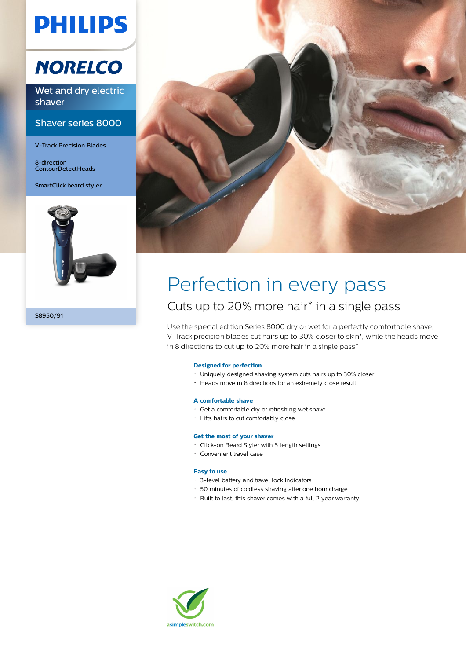# **PHILIPS**

## **NORELCO**

Wet and dry electric shaver

### Shaver series 8000

V-Track Precision Blades

8-direction ContourDetectHeads

SmartClick beard styler



S8950/91



## Perfection in every pass Cuts up to 20% more hair\* in a single pass

Use the special edition Series 8000 dry or wet for a perfectly comfortable shave. V-Track precision blades cut hairs up to 30% closer to skin\*, while the heads move in 8 directions to cut up to 20% more hair in a single pass\*

### **Designed for perfection**

- Uniquely designed shaving system cuts hairs up to 30% closer
- Heads move in 8 directions for an extremely close result

### **A comfortable shave**

- Get a comfortable dry or refreshing wet shave
- Lifts hairs to cut comfortably close

### **Get the most of your shaver**

- Click-on Beard Styler with 5 length settings
- Convenient travel case

### **Easy to use**

- 3-level battery and travel lock Indicators
- 50 minutes of cordless shaving after one hour charge
- Built to last, this shaver comes with a full 2 year warranty

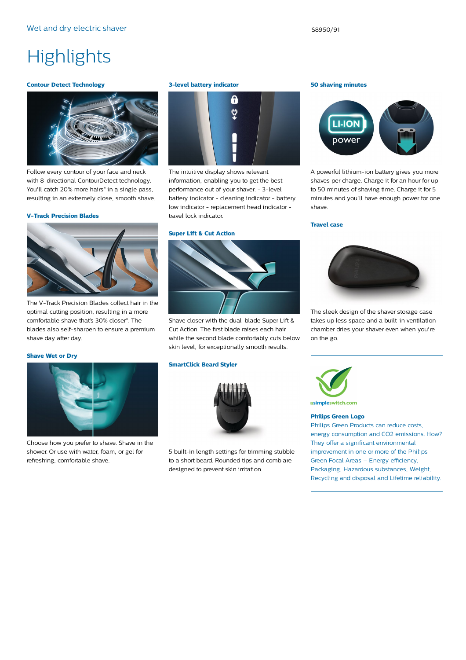## **Highlights**

### **Contour Detect Technology**



Follow every contour of your face and neck with 8-directional ContourDetect technology. You'll catch 20% more hairs<sup>\*</sup> in a single pass, resulting in an extremely close, smooth shave.

### **V-Track Precision Blades**



The V-Track Precision Blades collect hair in the optimal cutting position, resulting in a more comfortable shave that's 30% closer\*. The blades also self-sharpen to ensure a premium shave day after day.

### **Shave Wet or Dry**



Choose how you prefer to shave. Shave in the shower. Or use with water, foam, or gel for refreshing, comfortable shave.

### **3-level battery indicator**



The intuitive display shows relevant information, enabling you to get the best performance out of your shaver: - 3-level battery indicator - cleaning indicator - battery low indicator - replacement head indicator travel lock indicator.

### **Super Lift & Cut Action**

Shave closer with the dual-blade Super Lift & Cut Action. The first blade raises each hair while the second blade comfortably cuts below skin level, for exceptionally smooth results.

### **SmartClick Beard Styler**



5 built-in length settings for trimming stubble to a short beard. Rounded tips and comb are designed to prevent skin irritation.

### **50 shaving minutes**



A powerful lithium-ion battery gives you more shaves per charge. Charge it for an hour for up to 50 minutes of shaving time. Charge it for 5 minutes and you'll have enough power for one shave.

### **Travel case**



The sleek design of the shaver storage case takes up less space and a built-in ventilation chamber dries your shaver even when you're on the go.



asimpleswitch.com

### **Philips Green Logo**

Philips Green Products can reduce costs, energy consumption and CO2 emissions. How? They offer a significant environmental improvement in one or more of the Philips Green Focal Areas – Energy efficiency, Packaging, Hazardous substances, Weight, Recycling and disposal and Lifetime reliability.